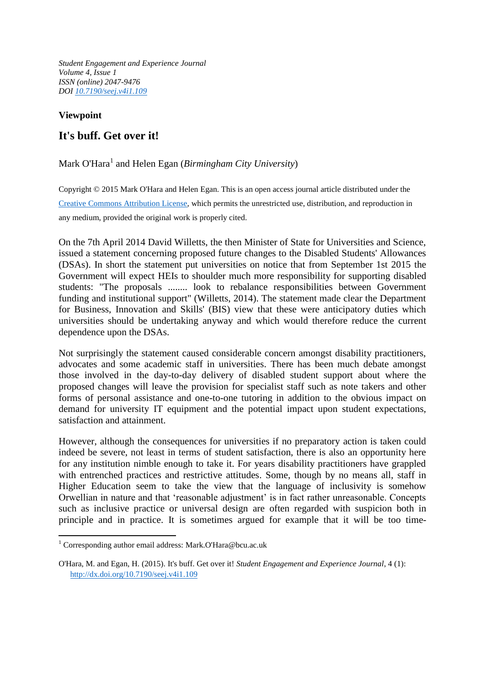*Student Engagement and Experience Journal Volume 4, Issue 1 ISSN (online) 2047-9476 DOI [10.7190/seej.v4i1.109](http://dx.doi.org/10.7190/seej.v4i1.109)*

## **Viewpoint**

1

## **It's buff. Get over it!**

## Mark O'Hara<sup>1</sup> and Helen Egan (*Birmingham City University*)

Copyright © 2015 Mark O'Hara and Helen Egan. This is an open access journal article distributed under the [Creative Commons Attribution License,](http://creativecommons.org/licenses/by/3.0/legalcode) which permits the unrestricted use, distribution, and reproduction in any medium, provided the original work is properly cited.

On the 7th April 2014 David Willetts, the then Minister of State for Universities and Science, issued a statement concerning proposed future changes to the Disabled Students' Allowances (DSAs). In short the statement put universities on notice that from September 1st 2015 the Government will expect HEIs to shoulder much more responsibility for supporting disabled students: "The proposals ........ look to rebalance responsibilities between Government funding and institutional support" (Willetts, 2014). The statement made clear the Department for Business, Innovation and Skills' (BIS) view that these were anticipatory duties which universities should be undertaking anyway and which would therefore reduce the current dependence upon the DSAs.

Not surprisingly the statement caused considerable concern amongst disability practitioners, advocates and some academic staff in universities. There has been much debate amongst those involved in the day-to-day delivery of disabled student support about where the proposed changes will leave the provision for specialist staff such as note takers and other forms of personal assistance and one-to-one tutoring in addition to the obvious impact on demand for university IT equipment and the potential impact upon student expectations, satisfaction and attainment.

However, although the consequences for universities if no preparatory action is taken could indeed be severe, not least in terms of student satisfaction, there is also an opportunity here for any institution nimble enough to take it. For years disability practitioners have grappled with entrenched practices and restrictive attitudes. Some, though by no means all, staff in Higher Education seem to take the view that the language of inclusivity is somehow Orwellian in nature and that 'reasonable adjustment' is in fact rather unreasonable. Concepts such as inclusive practice or universal design are often regarded with suspicion both in principle and in practice. It is sometimes argued for example that it will be too time-

<sup>1</sup> Corresponding author email address: Mark.O'Hara@bcu.ac.uk

O'Hara, M. and Egan, H. (2015). It's buff. Get over it! *Student Engagement and Experience Journal*, 4 (1): <http://dx.doi.org/10.7190/seej.v4i1.109>